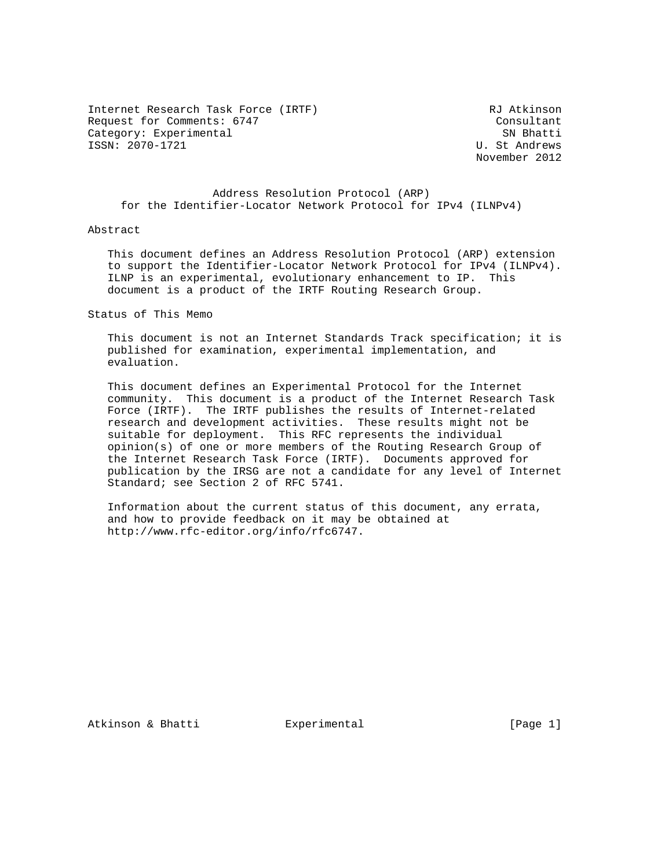Internet Research Task Force (IRTF) RJ Atkinson Request for Comments: 6747 Consultant Category: Experimental SN Bhatti ISSN: 2070-1721 U. St Andrews

November 2012

 Address Resolution Protocol (ARP) for the Identifier-Locator Network Protocol for IPv4 (ILNPv4)

#### Abstract

 This document defines an Address Resolution Protocol (ARP) extension to support the Identifier-Locator Network Protocol for IPv4 (ILNPv4). ILNP is an experimental, evolutionary enhancement to IP. This document is a product of the IRTF Routing Research Group.

Status of This Memo

 This document is not an Internet Standards Track specification; it is published for examination, experimental implementation, and evaluation.

 This document defines an Experimental Protocol for the Internet community. This document is a product of the Internet Research Task Force (IRTF). The IRTF publishes the results of Internet-related research and development activities. These results might not be suitable for deployment. This RFC represents the individual opinion(s) of one or more members of the Routing Research Group of the Internet Research Task Force (IRTF). Documents approved for publication by the IRSG are not a candidate for any level of Internet Standard; see Section 2 of RFC 5741.

 Information about the current status of this document, any errata, and how to provide feedback on it may be obtained at http://www.rfc-editor.org/info/rfc6747.

Atkinson & Bhatti **Experimental** [Page 1]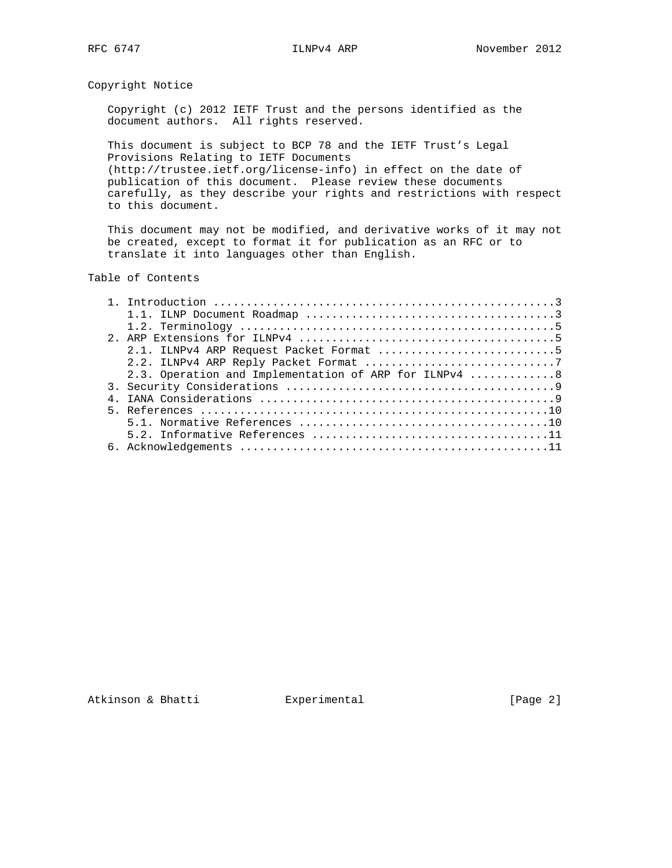Copyright Notice

 Copyright (c) 2012 IETF Trust and the persons identified as the document authors. All rights reserved.

 This document is subject to BCP 78 and the IETF Trust's Legal Provisions Relating to IETF Documents (http://trustee.ietf.org/license-info) in effect on the date of publication of this document. Please review these documents carefully, as they describe your rights and restrictions with respect to this document.

 This document may not be modified, and derivative works of it may not be created, except to format it for publication as an RFC or to translate it into languages other than English.

# Table of Contents

|  | 2.1. ILNPv4 ARP Request Packet Format 5               |
|--|-------------------------------------------------------|
|  |                                                       |
|  | 2.3. Operation and Implementation of ARP for ILNPv4 8 |
|  |                                                       |
|  |                                                       |
|  |                                                       |
|  |                                                       |
|  |                                                       |
|  |                                                       |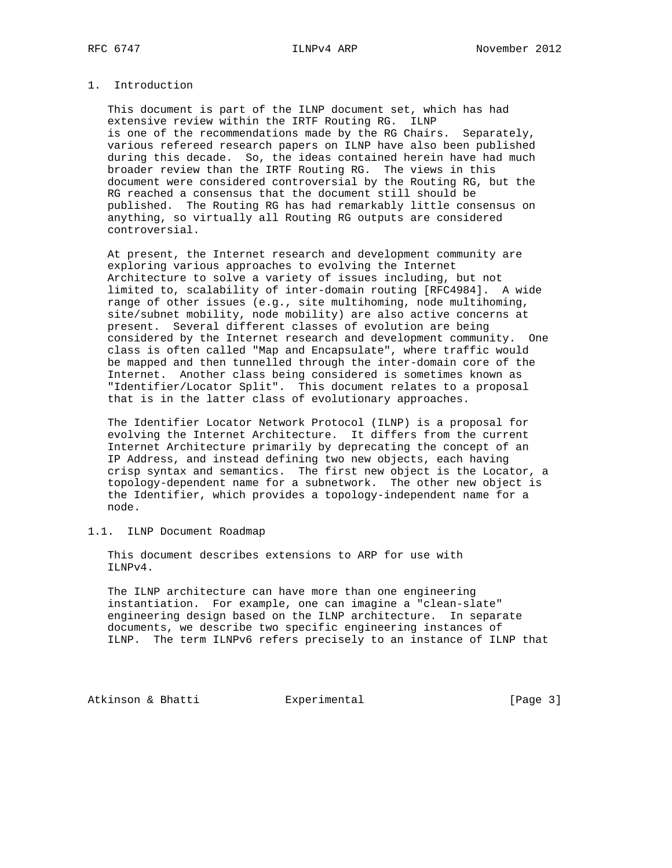# 1. Introduction

 This document is part of the ILNP document set, which has had extensive review within the IRTF Routing RG. ILNP is one of the recommendations made by the RG Chairs. Separately, various refereed research papers on ILNP have also been published during this decade. So, the ideas contained herein have had much broader review than the IRTF Routing RG. The views in this document were considered controversial by the Routing RG, but the RG reached a consensus that the document still should be published. The Routing RG has had remarkably little consensus on anything, so virtually all Routing RG outputs are considered controversial.

 At present, the Internet research and development community are exploring various approaches to evolving the Internet Architecture to solve a variety of issues including, but not limited to, scalability of inter-domain routing [RFC4984]. A wide range of other issues (e.g., site multihoming, node multihoming, site/subnet mobility, node mobility) are also active concerns at present. Several different classes of evolution are being considered by the Internet research and development community. One class is often called "Map and Encapsulate", where traffic would be mapped and then tunnelled through the inter-domain core of the Internet. Another class being considered is sometimes known as "Identifier/Locator Split". This document relates to a proposal that is in the latter class of evolutionary approaches.

 The Identifier Locator Network Protocol (ILNP) is a proposal for evolving the Internet Architecture. It differs from the current Internet Architecture primarily by deprecating the concept of an IP Address, and instead defining two new objects, each having crisp syntax and semantics. The first new object is the Locator, a topology-dependent name for a subnetwork. The other new object is the Identifier, which provides a topology-independent name for a node.

1.1. ILNP Document Roadmap

 This document describes extensions to ARP for use with ILNPv4.

 The ILNP architecture can have more than one engineering instantiation. For example, one can imagine a "clean-slate" engineering design based on the ILNP architecture. In separate documents, we describe two specific engineering instances of ILNP. The term ILNPv6 refers precisely to an instance of ILNP that

Atkinson & Bhatti **Experimental** Experimental [Page 3]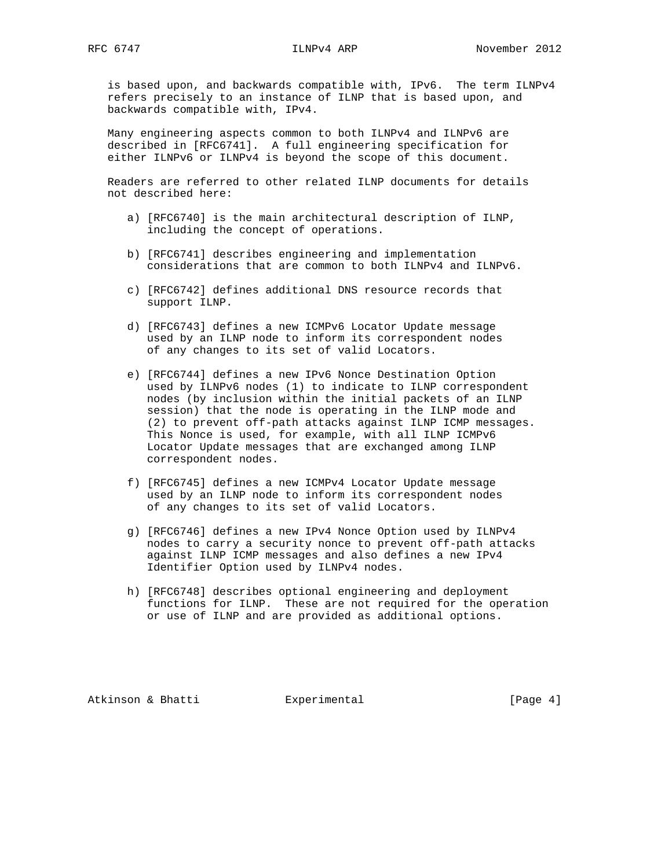is based upon, and backwards compatible with, IPv6. The term ILNPv4 refers precisely to an instance of ILNP that is based upon, and backwards compatible with, IPv4.

 Many engineering aspects common to both ILNPv4 and ILNPv6 are described in [RFC6741]. A full engineering specification for either ILNPv6 or ILNPv4 is beyond the scope of this document.

 Readers are referred to other related ILNP documents for details not described here:

- a) [RFC6740] is the main architectural description of ILNP, including the concept of operations.
- b) [RFC6741] describes engineering and implementation considerations that are common to both ILNPv4 and ILNPv6.
- c) [RFC6742] defines additional DNS resource records that support ILNP.
- d) [RFC6743] defines a new ICMPv6 Locator Update message used by an ILNP node to inform its correspondent nodes of any changes to its set of valid Locators.
- e) [RFC6744] defines a new IPv6 Nonce Destination Option used by ILNPv6 nodes (1) to indicate to ILNP correspondent nodes (by inclusion within the initial packets of an ILNP session) that the node is operating in the ILNP mode and (2) to prevent off-path attacks against ILNP ICMP messages. This Nonce is used, for example, with all ILNP ICMPv6 Locator Update messages that are exchanged among ILNP correspondent nodes.
- f) [RFC6745] defines a new ICMPv4 Locator Update message used by an ILNP node to inform its correspondent nodes of any changes to its set of valid Locators.
- g) [RFC6746] defines a new IPv4 Nonce Option used by ILNPv4 nodes to carry a security nonce to prevent off-path attacks against ILNP ICMP messages and also defines a new IPv4 Identifier Option used by ILNPv4 nodes.
- h) [RFC6748] describes optional engineering and deployment functions for ILNP. These are not required for the operation or use of ILNP and are provided as additional options.

Atkinson & Bhatti **Experimental** [Page 4]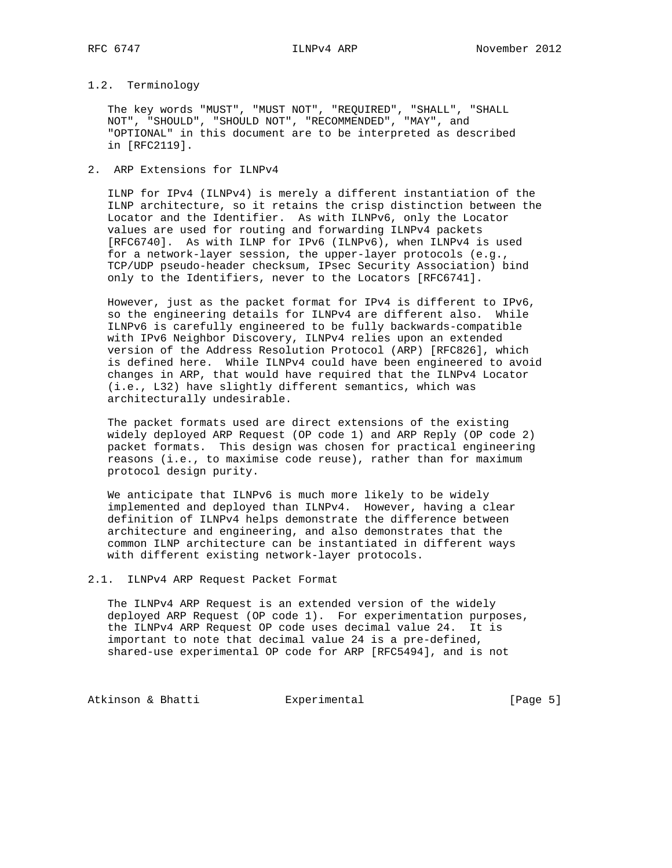## 1.2. Terminology

 The key words "MUST", "MUST NOT", "REQUIRED", "SHALL", "SHALL NOT", "SHOULD", "SHOULD NOT", "RECOMMENDED", "MAY", and "OPTIONAL" in this document are to be interpreted as described in [RFC2119].

2. ARP Extensions for ILNPv4

 ILNP for IPv4 (ILNPv4) is merely a different instantiation of the ILNP architecture, so it retains the crisp distinction between the Locator and the Identifier. As with ILNPv6, only the Locator values are used for routing and forwarding ILNPv4 packets [RFC6740]. As with ILNP for IPv6 (ILNPv6), when ILNPv4 is used for a network-layer session, the upper-layer protocols (e.g., TCP/UDP pseudo-header checksum, IPsec Security Association) bind only to the Identifiers, never to the Locators [RFC6741].

 However, just as the packet format for IPv4 is different to IPv6, so the engineering details for ILNPv4 are different also. While ILNPv6 is carefully engineered to be fully backwards-compatible with IPv6 Neighbor Discovery, ILNPv4 relies upon an extended version of the Address Resolution Protocol (ARP) [RFC826], which is defined here. While ILNPv4 could have been engineered to avoid changes in ARP, that would have required that the ILNPv4 Locator (i.e., L32) have slightly different semantics, which was architecturally undesirable.

 The packet formats used are direct extensions of the existing widely deployed ARP Request (OP code 1) and ARP Reply (OP code 2) packet formats. This design was chosen for practical engineering reasons (i.e., to maximise code reuse), rather than for maximum protocol design purity.

 We anticipate that ILNPv6 is much more likely to be widely implemented and deployed than ILNPv4. However, having a clear definition of ILNPv4 helps demonstrate the difference between architecture and engineering, and also demonstrates that the common ILNP architecture can be instantiated in different ways with different existing network-layer protocols.

2.1. ILNPv4 ARP Request Packet Format

 The ILNPv4 ARP Request is an extended version of the widely deployed ARP Request (OP code 1). For experimentation purposes, the ILNPv4 ARP Request OP code uses decimal value 24. It is important to note that decimal value 24 is a pre-defined, shared-use experimental OP code for ARP [RFC5494], and is not

Atkinson & Bhatti **Experimental** Experimental [Page 5]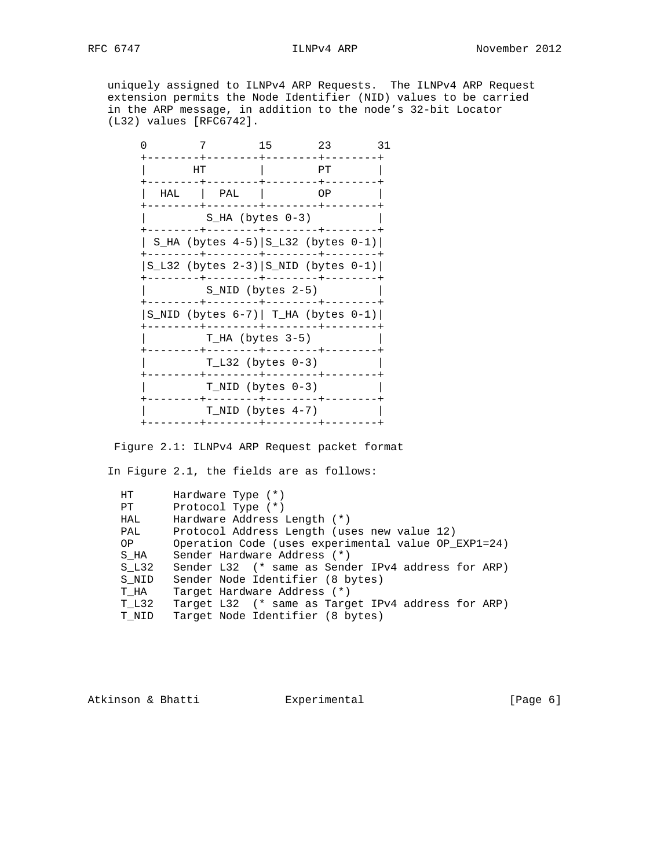uniquely assigned to ILNPv4 ARP Requests. The ILNPv4 ARP Request extension permits the Node Identifier (NID) values to be carried in the ARP message, in addition to the node's 32-bit Locator (L32) values [RFC6742].

|                                              | 7                                           | 15 | 23 | 31 |
|----------------------------------------------|---------------------------------------------|----|----|----|
| HТ                                           |                                             |    | PТ |    |
| HAL                                          | PAL                                         |    | ΟP |    |
|                                              | $S_HA$ (bytes $0-3$ )                       |    |    |    |
|                                              | S_HA (bytes $4-5$ ) $ S_L32$ (bytes $0-1$ ) |    |    |    |
| S_L32 (bytes $2-3$ ) $ S_NID$ (bytes $0-1$ ) |                                             |    |    |    |
|                                              | S NID (bytes 2-5)                           |    |    |    |
| S_NID (bytes $6-7$ )   T_HA (bytes $0-1$ )   |                                             |    |    |    |
|                                              | T_HA (bytes 3-5)                            |    |    |    |
|                                              | $T L32$ (bytes $0-3$ )                      |    |    |    |
|                                              | T NID (bytes $0-3$ )                        |    |    |    |
|                                              | $T$ NID (bytes $4-7$ )                      |    |    |    |
|                                              |                                             |    |    |    |

Figure 2.1: ILNPv4 ARP Request packet format

In Figure 2.1, the fields are as follows:

| HT.   | Hardware Type $(*)$                                 |
|-------|-----------------------------------------------------|
| PТ    | Protocol Type $(*)$                                 |
| HAL   | Hardware Address Length (*)                         |
| PAL   | Protocol Address Length (uses new value 12)         |
| OP    | Operation Code (uses experimental value OP_EXP1=24) |
| S HA  | Sender Hardware Address (*)                         |
| S L32 | Sender L32 (* same as Sender IPv4 address for ARP)  |
| S NID | Sender Node Identifier (8 bytes)                    |
| T HA  | Target Hardware Address (*)                         |
| T L32 | Target L32 (* same as Target IPv4 address for ARP)  |
| T NID | Target Node Identifier (8 bytes)                    |

Atkinson & Bhatti **Experimental** [Page 6]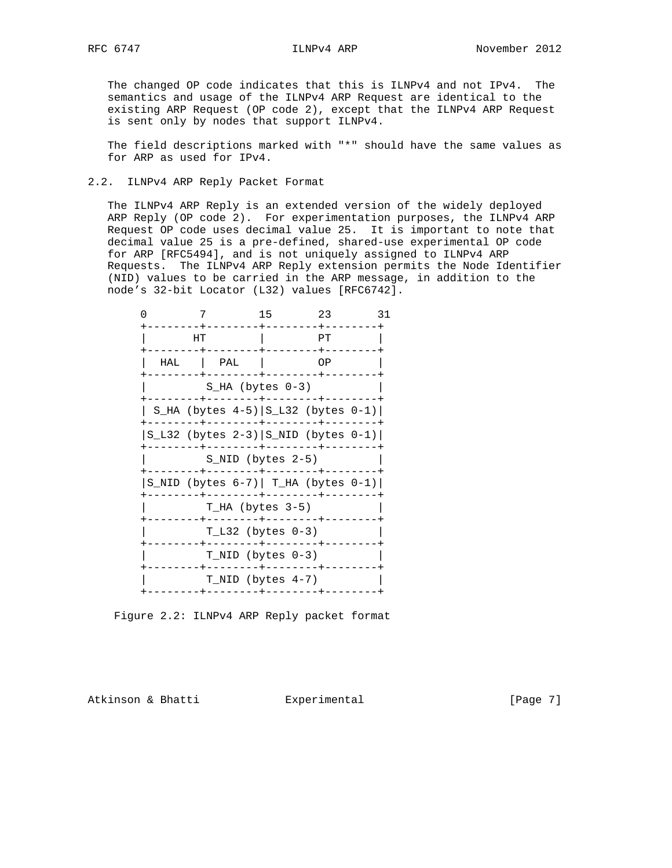The changed OP code indicates that this is ILNPv4 and not IPv4. The semantics and usage of the ILNPv4 ARP Request are identical to the existing ARP Request (OP code 2), except that the ILNPv4 ARP Request is sent only by nodes that support ILNPv4.

 The field descriptions marked with "\*" should have the same values as for ARP as used for IPv4.

2.2. ILNPv4 ARP Reply Packet Format

 The ILNPv4 ARP Reply is an extended version of the widely deployed ARP Reply (OP code 2). For experimentation purposes, the ILNPv4 ARP Request OP code uses decimal value 25. It is important to note that decimal value 25 is a pre-defined, shared-use experimental OP code for ARP [RFC5494], and is not uniquely assigned to ILNPv4 ARP Requests. The ILNPv4 ARP Reply extension permits the Node Identifier (NID) values to be carried in the ARP message, in addition to the node's 32-bit Locator (L32) values [RFC6742].

| 7                                          |                        | 15 | 23                                          | 31 |
|--------------------------------------------|------------------------|----|---------------------------------------------|----|
| HТ                                         |                        |    | PТ                                          |    |
| HAL                                        | PAL                    |    | ΟP                                          |    |
|                                            | S HA (bytes $0-3$ )    |    |                                             |    |
|                                            |                        |    | S_HA (bytes $4-5$ ) $ S_L32$ (bytes $0-1$ ) |    |
| $S_L32$ (bytes 2-3) $ S_LND$ (bytes 0-1)   |                        |    |                                             |    |
|                                            | S NID (bytes 2-5)      |    |                                             |    |
| S_NID (bytes $6-7$ )   T_HA (bytes $0-1$ ) |                        |    |                                             |    |
|                                            | T HA (bytes 3-5)       |    |                                             |    |
|                                            | $T L32$ (bytes $0-3$ ) |    |                                             |    |
|                                            | T NID (bytes $0-3$ )   |    |                                             |    |
|                                            | $T$ NID (bytes $4-7$ ) |    |                                             |    |
|                                            |                        |    |                                             |    |

Figure 2.2: ILNPv4 ARP Reply packet format

Atkinson & Bhatti **Experimental** [Page 7]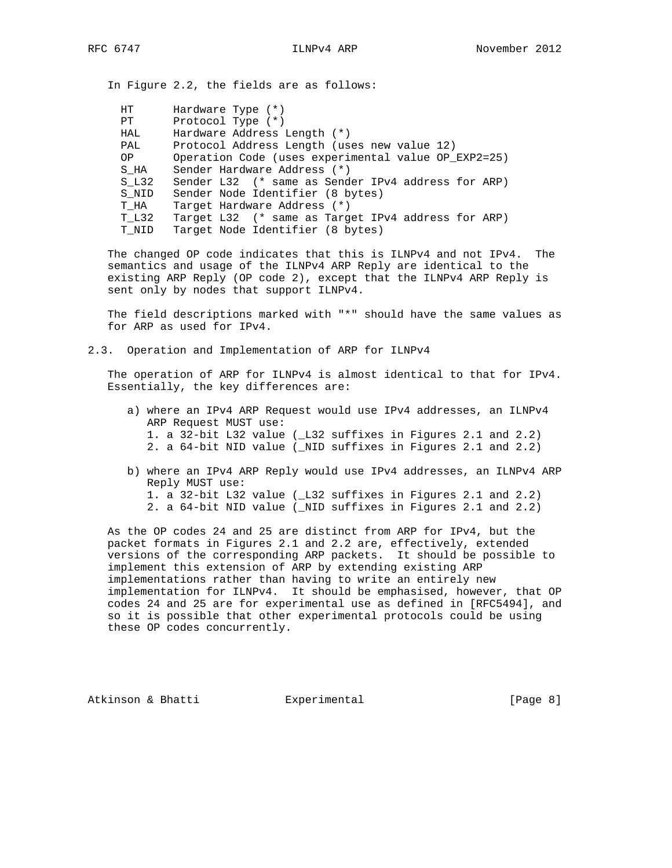In Figure 2.2, the fields are as follows:

| HT.   | Hardware Type $(*)$                                 |
|-------|-----------------------------------------------------|
| PТ    | Protocol Type $(*)$                                 |
| HAL   | Hardware Address Length (*)                         |
| PAL   | Protocol Address Length (uses new value 12)         |
| OP    | Operation Code (uses experimental value OP EXP2=25) |
| S HA  | Sender Hardware Address (*)                         |
| S L32 | Sender L32 (* same as Sender IPv4 address for ARP)  |
| S NID | Sender Node Identifier (8 bytes)                    |
| T HA  | Target Hardware Address (*)                         |
| T L32 | Target L32 (* same as Target IPv4 address for ARP)  |
| T NID | Target Node Identifier (8 bytes)                    |

 The changed OP code indicates that this is ILNPv4 and not IPv4. The semantics and usage of the ILNPv4 ARP Reply are identical to the existing ARP Reply (OP code 2), except that the ILNPv4 ARP Reply is sent only by nodes that support ILNPv4.

 The field descriptions marked with "\*" should have the same values as for ARP as used for IPv4.

2.3. Operation and Implementation of ARP for ILNPv4

 The operation of ARP for ILNPv4 is almost identical to that for IPv4. Essentially, the key differences are:

- a) where an IPv4 ARP Request would use IPv4 addresses, an ILNPv4 ARP Request MUST use: 1. a 32-bit L32 value (\_L32 suffixes in Figures 2.1 and 2.2) 2. a 64-bit NID value (\_NID suffixes in Figures 2.1 and 2.2)
- b) where an IPv4 ARP Reply would use IPv4 addresses, an ILNPv4 ARP Reply MUST use: 1. a 32-bit L32 value (\_L32 suffixes in Figures 2.1 and 2.2) 2. a 64-bit NID value (\_NID suffixes in Figures 2.1 and 2.2)

 As the OP codes 24 and 25 are distinct from ARP for IPv4, but the packet formats in Figures 2.1 and 2.2 are, effectively, extended versions of the corresponding ARP packets. It should be possible to implement this extension of ARP by extending existing ARP implementations rather than having to write an entirely new implementation for ILNPv4. It should be emphasised, however, that OP codes 24 and 25 are for experimental use as defined in [RFC5494], and so it is possible that other experimental protocols could be using these OP codes concurrently.

Atkinson & Bhatti **Experimental** [Page 8]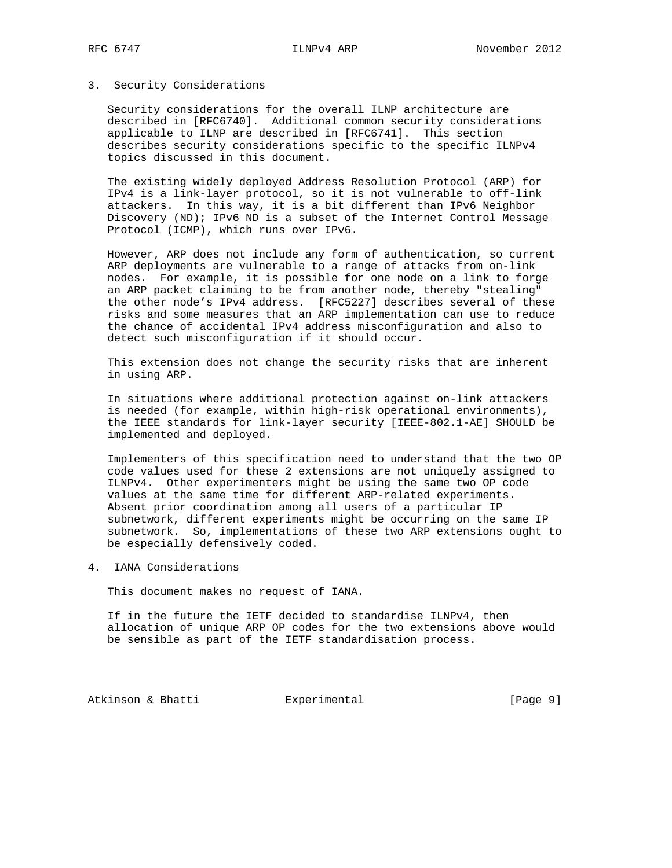## 3. Security Considerations

 Security considerations for the overall ILNP architecture are described in [RFC6740]. Additional common security considerations applicable to ILNP are described in [RFC6741]. This section describes security considerations specific to the specific ILNPv4 topics discussed in this document.

 The existing widely deployed Address Resolution Protocol (ARP) for IPv4 is a link-layer protocol, so it is not vulnerable to off-link attackers. In this way, it is a bit different than IPv6 Neighbor Discovery (ND); IPv6 ND is a subset of the Internet Control Message Protocol (ICMP), which runs over IPv6.

 However, ARP does not include any form of authentication, so current ARP deployments are vulnerable to a range of attacks from on-link nodes. For example, it is possible for one node on a link to forge an ARP packet claiming to be from another node, thereby "stealing" the other node's IPv4 address. [RFC5227] describes several of these risks and some measures that an ARP implementation can use to reduce the chance of accidental IPv4 address misconfiguration and also to detect such misconfiguration if it should occur.

 This extension does not change the security risks that are inherent in using ARP.

 In situations where additional protection against on-link attackers is needed (for example, within high-risk operational environments), the IEEE standards for link-layer security [IEEE-802.1-AE] SHOULD be implemented and deployed.

 Implementers of this specification need to understand that the two OP code values used for these 2 extensions are not uniquely assigned to ILNPv4. Other experimenters might be using the same two OP code values at the same time for different ARP-related experiments. Absent prior coordination among all users of a particular IP subnetwork, different experiments might be occurring on the same IP subnetwork. So, implementations of these two ARP extensions ought to be especially defensively coded.

4. IANA Considerations

This document makes no request of IANA.

 If in the future the IETF decided to standardise ILNPv4, then allocation of unique ARP OP codes for the two extensions above would be sensible as part of the IETF standardisation process.

Atkinson & Bhatti **Experimental** Experimental [Page 9]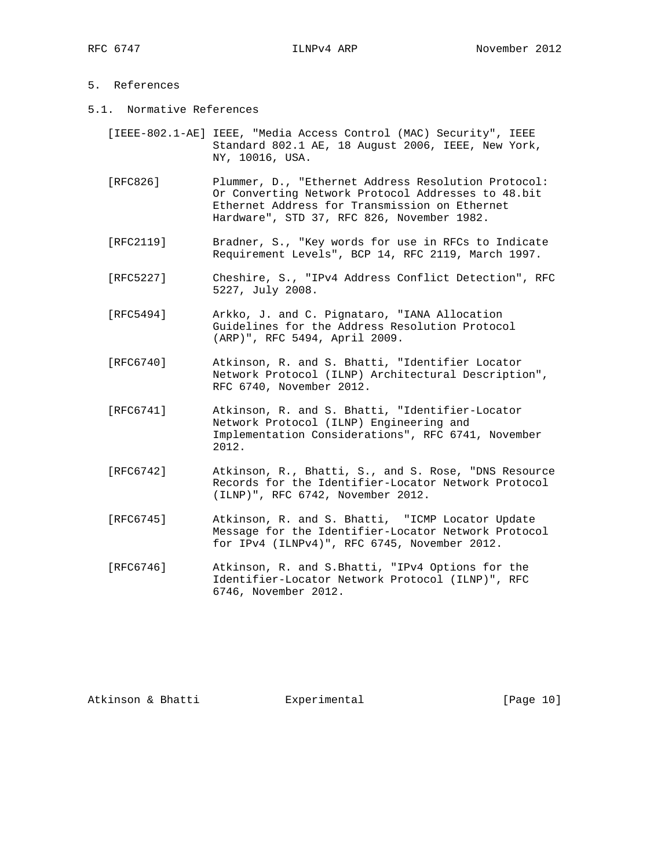## 5. References

- 5.1. Normative References
	- [IEEE-802.1-AE] IEEE, "Media Access Control (MAC) Security", IEEE Standard 802.1 AE, 18 August 2006, IEEE, New York, NY, 10016, USA.
	- [RFC826] Plummer, D., "Ethernet Address Resolution Protocol: Or Converting Network Protocol Addresses to 48.bit Ethernet Address for Transmission on Ethernet Hardware", STD 37, RFC 826, November 1982.
	- [RFC2119] Bradner, S., "Key words for use in RFCs to Indicate Requirement Levels", BCP 14, RFC 2119, March 1997.
	- [RFC5227] Cheshire, S., "IPv4 Address Conflict Detection", RFC 5227, July 2008.
	- [RFC5494] Arkko, J. and C. Pignataro, "IANA Allocation Guidelines for the Address Resolution Protocol (ARP)", RFC 5494, April 2009.
	- [RFC6740] Atkinson, R. and S. Bhatti, "Identifier Locator Network Protocol (ILNP) Architectural Description", RFC 6740, November 2012.
	- [RFC6741] Atkinson, R. and S. Bhatti, "Identifier-Locator Network Protocol (ILNP) Engineering and Implementation Considerations", RFC 6741, November 2012.
	- [RFC6742] Atkinson, R., Bhatti, S., and S. Rose, "DNS Resource Records for the Identifier-Locator Network Protocol (ILNP)", RFC 6742, November 2012.
	- [RFC6745] Atkinson, R. and S. Bhatti, "ICMP Locator Update Message for the Identifier-Locator Network Protocol for IPv4 (ILNPv4)", RFC 6745, November 2012.
	- [RFC6746] Atkinson, R. and S.Bhatti, "IPv4 Options for the Identifier-Locator Network Protocol (ILNP)", RFC 6746, November 2012.

Atkinson & Bhatti **Experimental** [Page 10]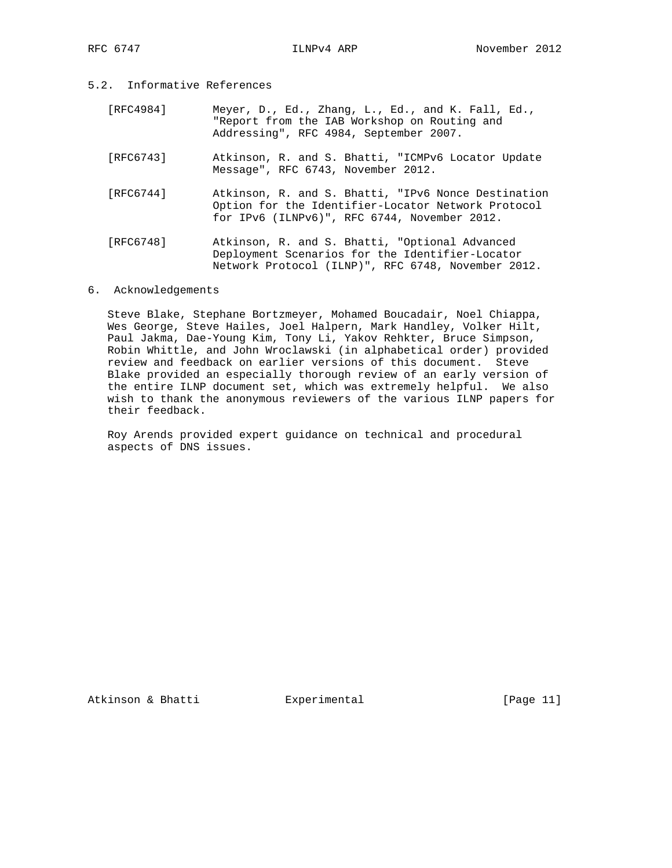- 5.2. Informative References
	- [RFC4984] Meyer, D., Ed., Zhang, L., Ed., and K. Fall, Ed., "Report from the IAB Workshop on Routing and Addressing", RFC 4984, September 2007.
	- [RFC6743] Atkinson, R. and S. Bhatti, "ICMPv6 Locator Update Message", RFC 6743, November 2012.
	- [RFC6744] Atkinson, R. and S. Bhatti, "IPv6 Nonce Destination Option for the Identifier-Locator Network Protocol for IPv6 (ILNPv6)", RFC 6744, November 2012.
	- [RFC6748] Atkinson, R. and S. Bhatti, "Optional Advanced Deployment Scenarios for the Identifier-Locator Network Protocol (ILNP)", RFC 6748, November 2012.

## 6. Acknowledgements

 Steve Blake, Stephane Bortzmeyer, Mohamed Boucadair, Noel Chiappa, Wes George, Steve Hailes, Joel Halpern, Mark Handley, Volker Hilt, Paul Jakma, Dae-Young Kim, Tony Li, Yakov Rehkter, Bruce Simpson, Robin Whittle, and John Wroclawski (in alphabetical order) provided review and feedback on earlier versions of this document. Steve Blake provided an especially thorough review of an early version of the entire ILNP document set, which was extremely helpful. We also wish to thank the anonymous reviewers of the various ILNP papers for their feedback.

 Roy Arends provided expert guidance on technical and procedural aspects of DNS issues.